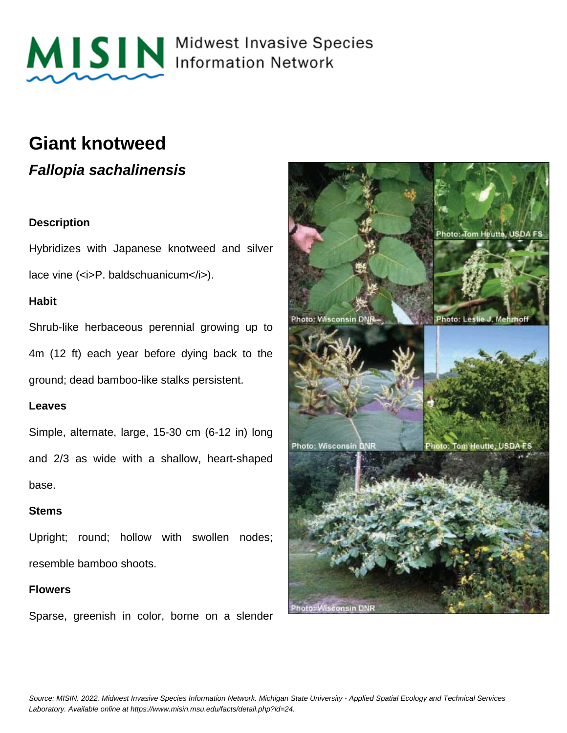

MISIN Midwest Invasive Species

### **Giant knotweed**

**Fallopia sachalinensis**

#### **Description**

Hybridizes with Japanese knotweed and silver lace vine (<i>P. baldschuanicum</i>).

#### **Habit**

Shrub-like herbaceous perennial growing up to 4m (12 ft) each year before dying back to the ground; dead bamboo-like stalks persistent.

#### **Leaves**

Simple, alternate, large, 15-30 cm (6-12 in) long and 2/3 as wide with a shallow, heart-shaped base.

#### **Stems**

Upright; round; hollow with swollen nodes; resemble bamboo shoots.

#### **Flowers**

Sparse, greenish in color, borne on a slender

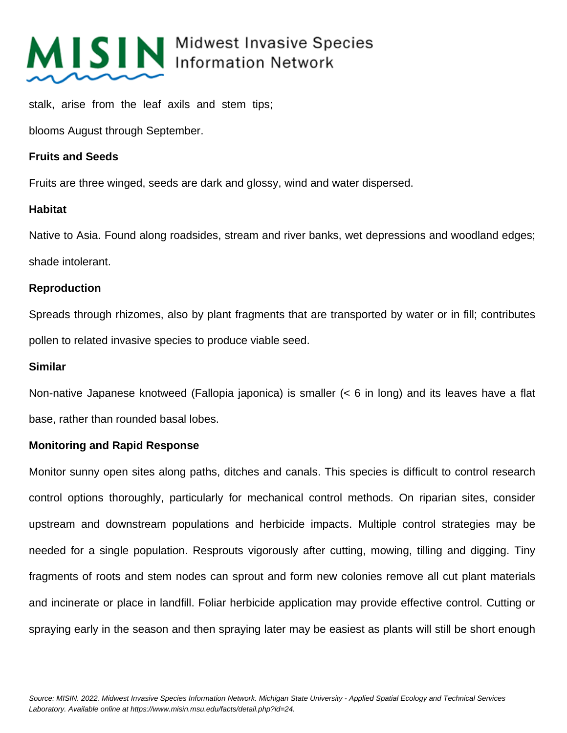

## MISIN Midwest Invasive Species

stalk, arise from the leaf axils and stem tips;

blooms August through September.

#### **Fruits and Seeds**

Fruits are three winged, seeds are dark and glossy, wind and water dispersed.

#### **Habitat**

Native to Asia. Found along roadsides, stream and river banks, wet depressions and woodland edges; shade intolerant.

#### **Reproduction**

Spreads through rhizomes, also by plant fragments that are transported by water or in fill; contributes pollen to related invasive species to produce viable seed.

#### **Similar**

Non-native Japanese knotweed (Fallopia japonica) is smaller (< 6 in long) and its leaves have a flat base, rather than rounded basal lobes.

#### **Monitoring and Rapid Response**

Monitor sunny open sites along paths, ditches and canals. This species is difficult to control research control options thoroughly, particularly for mechanical control methods. On riparian sites, consider upstream and downstream populations and herbicide impacts. Multiple control strategies may be needed for a single population. Resprouts vigorously after cutting, mowing, tilling and digging. Tiny fragments of roots and stem nodes can sprout and form new colonies remove all cut plant materials and incinerate or place in landfill. Foliar herbicide application may provide effective control. Cutting or spraying early in the season and then spraying later may be easiest as plants will still be short enough